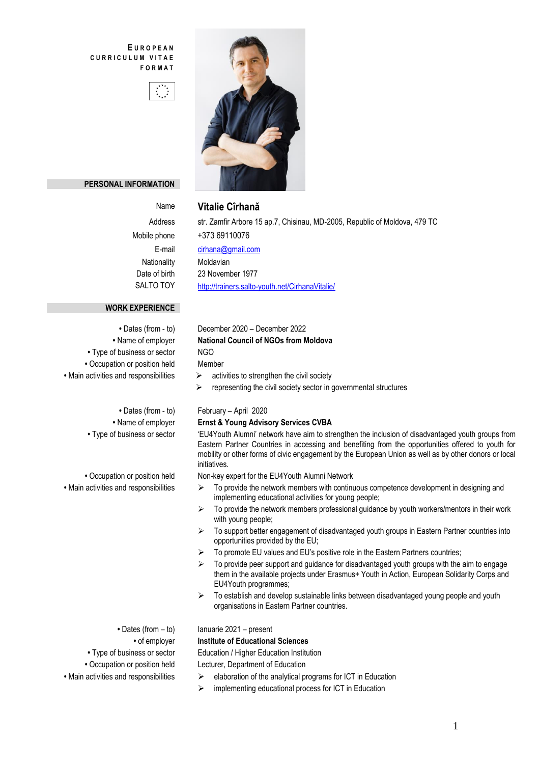### **E U R O P E A N C U R R I C U L U M V I T A E F O R M A T**





### **PERSONAL INFORMATION**

### Name **Vitalie Cîrhană**

Address str. Zamfir Arbore 15 ap.7, Chisinau, MD-2005, Republic of Moldova, 479 TC Mobile phone +373 69110076 E-mail [cirhana@gmail.com](mailto:cirhana@gmail.com) Nationality Moldavian Date of birth 23 November 1977 SALTO TOY <http://trainers.salto-youth.net/CirhanaVitalie/>

### **WORK EXPERIENCE**

- Type of business or sector NGO **•** Occupation or position held Member
	-

- 
- 
- 
- 

## **•** Dates (from - to) December 2020 – December 2022 **•** Name of employer **National Council of NGOs from Moldova** • Main activities and responsibilities  $\rightarrow$  activities to strengthen the civil society

 $\triangleright$  representing the civil society sector in governmental structures

### **•** Dates (from - to) February – April 2020

### **•** Name of employer **Ernst & Young Advisory Services CVBA**

**•** Type of business or sector 'EU4Youth Alumni' network have aim to strengthen the inclusion of disadvantaged youth groups from Eastern Partner Countries in accessing and benefiting from the opportunities offered to youth for mobility or other forms of civic engagement by the European Union as well as by other donors or local initiatives.

**•** Occupation or position held Non-key expert for the EU4Youth Alumni Network

- Main activities and responsibilities  $\triangleright$  To provide the network members with continuous competence development in designing and implementing educational activities for young people;
	- $\triangleright$  To provide the network members professional quidance by youth workers/mentors in their work with young people;
	- $\triangleright$  To support better engagement of disadvantaged youth groups in Eastern Partner countries into opportunities provided by the EU;
	- $\triangleright$  To promote EU values and EU's positive role in the Eastern Partners countries;
	- $\triangleright$  To provide peer support and guidance for disadvantaged youth groups with the aim to engage them in the available projects under Erasmus+ Youth in Action, European Solidarity Corps and EU4Youth programmes;
	- $\triangleright$  To establish and develop sustainable links between disadvantaged young people and youth organisations in Eastern Partner countries.

• Dates (from – to) lanuarie 2021 – present

### **•** of employer **Institute of Educational Sciences**

• Type of business or sector **Education / Higher Education Institution** 

**•** Occupation or position held Lecturer, Department of Education

- Main activities and responsibilities  $\rightarrow$  elaboration of the analytical programs for ICT in Education
	- $\triangleright$  implementing educational process for ICT in Education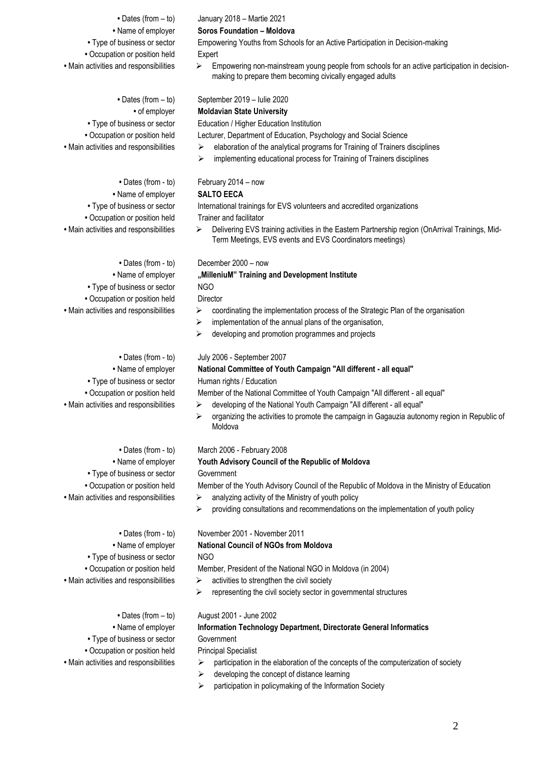- 
- Occupation or position held Expert
- 

- -
	-
	-
- - Type of business or sector NGO **•** Occupation or position held Director
- -
	-
	- Type of business or sector Human rights / Education
	-
- 
- Type of business or sector **Government** 
	-
	- Type of business or sector NGO
	-
- 

- 
- Type of business or sector Government
- Occupation or position held Principal Specialist
- 

**•** Dates (from – to) January 2018 – Martie 2021

### **•** Name of employer **Soros Foundation – Moldova**

**•** Type of business or sector Empowering Youths from Schools for an Active Participation in Decision-making

• Main activities and responsibilities  $\rightarrow$  Empowering non-mainstream young people from schools for an active participation in decisionmaking to prepare them becoming civically engaged adults

**•** Dates (from – to) September 2019 – Iulie 2020

### **•** of employer **Moldavian State University**

• Type of business or sector **Education / Higher Education Institution** 

**•** Occupation or position held Lecturer, Department of Education, Psychology and Social Science

- Main activities and responsibilities  $\rightarrow$  elaboration of the analytical programs for Training of Trainers disciplines
	- $\triangleright$  implementing educational process for Training of Trainers disciplines

### **•** Dates (from - to) February 2014 – now

### **•** Name of employer **SALTO EECA**

• Type of business or sector International trainings for EVS volunteers and accredited organizations **•** Occupation or position held Trainer and facilitator

• Main activities and responsibilities  $\triangleright$  Delivering EVS training activities in the Eastern Partnership region (OnArrival Trainings, Mid-Term Meetings, EVS events and EVS Coordinators meetings)

### **•** Dates (from - to) December 2000 – now

## **•** Name of employer **"MilleniuM" Training and Development Institute**

- Main activities and responsibilities  $\rightarrow$  coordinating the implementation process of the Strategic Plan of the organisation
	- $\triangleright$  implementation of the annual plans of the organisation,
	- $\triangleright$  developing and promotion programmes and projects

### **•** Dates (from - to) July 2006 - September 2007

### **•** Name of employer **National Committee of Youth Campaign "All different - all equal"**

**•** Occupation or position held Member of the National Committee of Youth Campaign "All different - all equal"

- Main activities and responsibilities  $\rightarrow$  developing of the National Youth Campaign "All different all equal"
	- $\triangleright$  organizing the activities to promote the campaign in Gagauzia autonomy region in Republic of Moldova

### **•** Dates (from - to) March 2006 - February 2008

### **•** Name of employer **Youth Advisory Council of the Republic of Moldova**

**•** Occupation or position held Member of the Youth Advisory Council of the Republic of Moldova in the Ministry of Education

- Main activities and responsibilities  $\rightarrow$  analyzing activity of the Ministry of youth policy
	- providing consultations and recommendations on the implementation of youth policy

**•** Dates (from - to) November 2001 - November 2011

### **•** Name of employer **National Council of NGOs from Moldova**

**•** Occupation or position held Member, President of the National NGO in Moldova (in 2004)

- Main activities and responsibilities  $\rightarrow$  activities to strengthen the civil society
	- $\triangleright$  representing the civil society sector in governmental structures

### **•** Dates (from – to) August 2001 - June 2002

# **•** Name of employer **Information Technology Department, Directorate General Informatics**

- Main activities and responsibilities  $\rightarrow$  participation in the elaboration of the concepts of the computerization of society
	- $\triangleright$  developing the concept of distance learning
	- $\triangleright$  participation in policymaking of the Information Society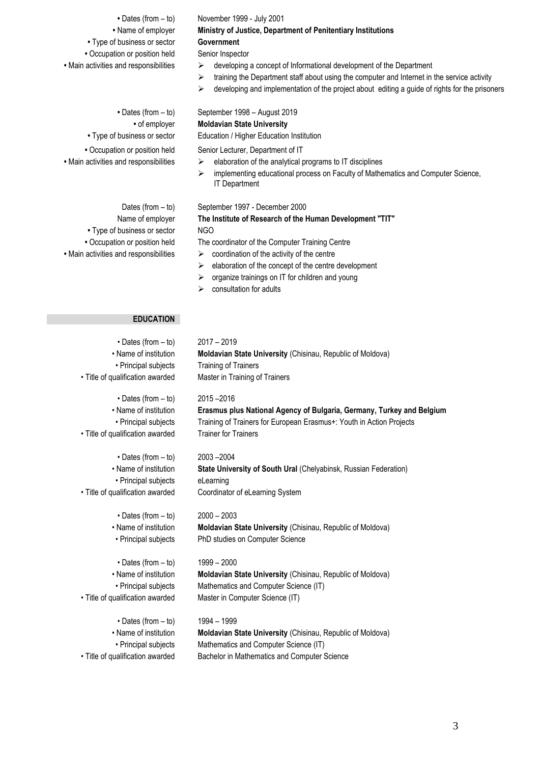**•** Dates (from – to) November 1999 - July 2001 **•** Name of employer **Ministry of Justice, Department of Penitentiary Institutions •** Type of business or sector **Government** • Occupation or position held Senior Inspector • Main activities and responsibilities  $\rightarrow$  developing a concept of Informational development of the Department **•** Dates (from – to) September 1998 – August 2019

**•** Type of business or sector NGO

- 
- $\triangleright$  training the Department staff about using the computer and Internet in the service activity
- $\triangleright$  developing and implementation of the project about editing a guide of rights for the prisoners

**•** of employer **Moldavian State University**

**•** Type of business or sector Education / Higher Education Institution

• Occupation or position held Senior Lecturer, Department of IT

- Main activities and responsibilities  $\rightarrow$  elaboration of the analytical programs to IT disciplines
	- implementing educational process on Faculty of Mathematics and Computer Science, IT Department

### Dates (from – to) September 1997 - December 2000

## Name of employer **The Institute of Research of the Human Development "TIT"**

**•** Occupation or position held The coordinator of the Computer Training Centre

- Main activities and responsibilities  $\triangleright$  coordination of the activity of the centre
	- $\triangleright$  elaboration of the concept of the centre development
	- $\triangleright$  organize trainings on IT for children and young
	- $\triangleright$  consultation for adults

### **EDUCATION**

| $\cdot$ Dates (from $-$ to)      | $2017 - 2019$                                                         |
|----------------------------------|-----------------------------------------------------------------------|
| • Name of institution            | <b>Moldavian State University (Chisinau, Republic of Moldova)</b>     |
| • Principal subjects             | <b>Training of Trainers</b>                                           |
| • Title of qualification awarded | Master in Training of Trainers                                        |
| • Dates (from – to)              | $2015 - 2016$                                                         |
| • Name of institution            | Erasmus plus National Agency of Bulgaria, Germany, Turkey and Belgium |
| • Principal subjects             | Training of Trainers for European Erasmus+: Youth in Action Projects  |
| • Title of qualification awarded | <b>Trainer for Trainers</b>                                           |
| $\cdot$ Dates (from $-$ to)      | 2003-2004                                                             |
| • Name of institution            | State University of South Ural (Chelyabinsk, Russian Federation)      |
| • Principal subjects             | eLearning                                                             |
| • Title of qualification awarded | Coordinator of eLearning System                                       |
| • Dates (from $-$ to)            | $2000 - 2003$                                                         |

• Name of institution **Moldavian State University** (Chisinau, Republic of Moldova) • Principal subjects PhD studies on Computer Science

### • Dates (from – to) 1999 – 2000

• Name of institution **Moldavian State University** (Chisinau, Republic of Moldova) • Principal subjects Mathematics and Computer Science (IT) • Title of qualification awarded Master in Computer Science (IT)

- Dates (from to) 1994 1999
- 
- 

• Name of institution **Moldavian State University** (Chisinau, Republic of Moldova) • Principal subjects Mathematics and Computer Science (IT) • Title of qualification awarded Bachelor in Mathematics and Computer Science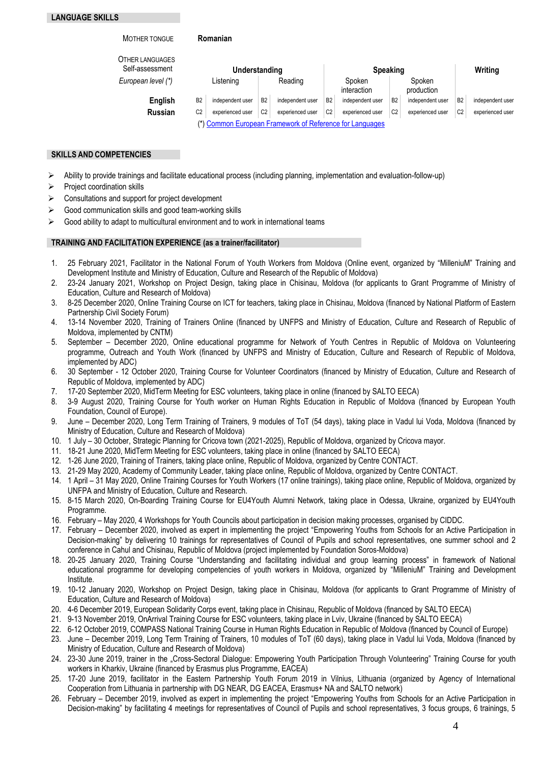| <b>MOTHER TONGUE</b>                      |                | Romanian         |                |                                                          |                       |                  |                      |                  |                |                  |
|-------------------------------------------|----------------|------------------|----------------|----------------------------------------------------------|-----------------------|------------------|----------------------|------------------|----------------|------------------|
| <b>OTHER LANGUAGES</b><br>Self-assessment | Understanding  |                  |                |                                                          | <b>Speaking</b>       |                  |                      |                  | Writing        |                  |
| European level (*)                        | Listening      |                  | Reading        |                                                          | Spoken<br>interaction |                  | Spoken<br>production |                  |                |                  |
| English                                   | B <sub>2</sub> | independent user | <b>B2</b>      | independent user                                         | B <sub>2</sub>        | independent user | B <sub>2</sub>       | independent user | B <sub>2</sub> | independent user |
| <b>Russian</b>                            | C <sub>2</sub> | experienced user | C <sub>2</sub> | experienced user                                         | C <sub>2</sub>        | experienced user | C <sub>2</sub>       | experienced user | C <sub>2</sub> | experienced user |
|                                           |                |                  |                | (*) Common European Framework of Reference for Languages |                       |                  |                      |                  |                |                  |

### **SKILLS AND COMPETENCIES**

- $\triangleright$  Ability to provide trainings and facilitate educational process (including planning, implementation and evaluation-follow-up)
- $\triangleright$  Project coordination skills
- $\triangleright$  Consultations and support for project development
- $\triangleright$  Good communication skills and good team-working skills
- $\triangleright$  Good ability to adapt to multicultural environment and to work in international teams

### **TRAINING AND FACILITATION EXPERIENCE (as a trainer/facilitator)**

- 1. 25 February 2021, Facilitator in the National Forum of Youth Workers from Moldova (Online event, organized by "MilleniuM" Training and Development Institute and Ministry of Education, Culture and Research of the Republic of Moldova)
- 2. 23-24 January 2021, Workshop on Project Design, taking place in Chisinau, Moldova (for applicants to Grant Programme of Ministry of Education, Culture and Research of Moldova)
- 3. 8-25 December 2020, Online Training Course on ICT for teachers, taking place in Chisinau, Moldova (financed by National Platform of Eastern Partnership Civil Society Forum)
- 4. 13-14 November 2020, Training of Trainers Online (financed by UNFPS and Ministry of Education, Culture and Research of Republic of Moldova, implemented by CNTM)
- 5. September December 2020, Online educational programme for Network of Youth Centres in Republic of Moldova on Volunteering programme, Outreach and Youth Work (financed by UNFPS and Ministry of Education, Culture and Research of Republic of Moldova, implemented by ADC)
- 6. 30 September 12 October 2020, Training Course for Volunteer Coordinators (financed by Ministry of Education, Culture and Research of Republic of Moldova, implemented by ADC)
- 
- 7. 17-20 September 2020, MidTerm Meeting for ESC volunteers, taking place in online (financed by SALTO EECA) 8. 3-9 August 2020, Training Course for Youth worker on Human Rights Education in Republic of Moldova (financed by European Youth Foundation, Council of Europe).
- 9. June December 2020, Long Term Training of Trainers, 9 modules of ToT (54 days), taking place in Vadul lui Voda, Moldova (financed by Ministry of Education, Culture and Research of Moldova)
- 10. 1 July 30 October, Strategic Planning for Cricova town (2021-2025), Republic of Moldova, organized by Cricova mayor.
- 11. 18-21 June 2020, MidTerm Meeting for ESC volunteers, taking place in online (financed by SALTO EECA)
- 12. 1-26 June 2020, Training of Trainers, taking place online, Republic of Moldova, organized by Centre CONTACT.
- 13. 21-29 May 2020, Academy of Community Leader, taking place online, Republic of Moldova, organized by Centre CONTACT.
- 14. 1 April 31 May 2020, Online Training Courses for Youth Workers (17 online trainings), taking place online, Republic of Moldova, organized by UNFPA and Ministry of Education, Culture and Research.
- 15. 8-15 March 2020, On-Boarding Training Course for EU4Youth Alumni Network, taking place in Odessa, Ukraine, organized by EU4Youth Programme.
- 16. February May 2020, 4 Workshops for Youth Councils about participation in decision making processes, organised by CIDDC.
- 17. February December 2020, involved as expert in implementing the project "Empowering Youths from Schools for an Active Participation in Decision-making" by delivering 10 trainings for representatives of Council of Pupils and school representatives, one summer school and 2 conference in Cahul and Chisinau, Republic of Moldova (project implemented by Foundation Soros-Moldova)
- 18. 20-25 January 2020, Training Course "Understanding and facilitating individual and group learning process" in framework of National educational programme for developing competencies of youth workers in Moldova, organized by "MilleniuM" Training and Development Institute.
- 19. 10-12 January 2020, Workshop on Project Design, taking place in Chisinau, Moldova (for applicants to Grant Programme of Ministry of Education, Culture and Research of Moldova)
- 20. 4-6 December 2019, European Solidarity Corps event, taking place in Chisinau, Republic of Moldova (financed by SALTO EECA)
- 21. 9-13 November 2019, OnArrival Training Course for ESC volunteers, taking place in Lviv, Ukraine (financed by SALTO EECA)
- 22. 6-12 October 2019, COMPASS National Training Course in Human Rights Education in Republic of Moldova (financed by Council of Europe)
- 23. June December 2019, Long Term Training of Trainers, 10 modules of ToT (60 days), taking place in Vadul lui Voda, Moldova (financed by Ministry of Education, Culture and Research of Moldova)
- 24. 23-30 June 2019, trainer in the "Cross-Sectoral Dialogue: Empowering Youth Participation Through Volunteering" Training Course for youth workers in Kharkiv, Ukraine (financed by Erasmus plus Programme, EACEA)
- 25. 17-20 June 2019, facilitator in the Eastern Partnership Youth Forum 2019 in Vilnius, Lithuania (organized by Agency of International Cooperation from Lithuania in partnership with DG NEAR, DG EACEA, Erasmus+ NA and SALTO network)
- 26. February December 2019, involved as expert in implementing the project "Empowering Youths from Schools for an Active Participation in Decision-making" by facilitating 4 meetings for representatives of Council of Pupils and school representatives, 3 focus groups, 6 trainings, 5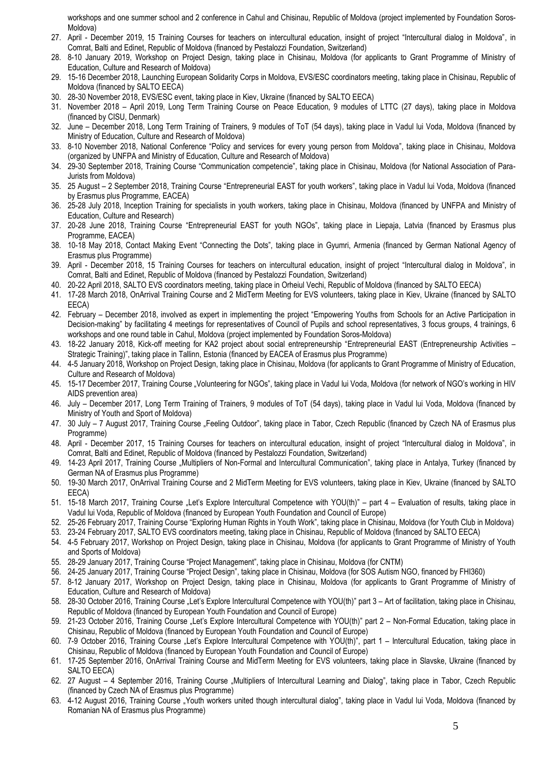workshops and one summer school and 2 conference in Cahul and Chisinau, Republic of Moldova (project implemented by Foundation Soros-Moldova)

- 27. April December 2019, 15 Training Courses for teachers on intercultural education, insight of project "Intercultural dialog in Moldova", in Comrat, Balti and Edinet, Republic of Moldova (financed by Pestalozzi Foundation, Switzerland)
- 28. 8-10 January 2019, Workshop on Project Design, taking place in Chisinau, Moldova (for applicants to Grant Programme of Ministry of Education, Culture and Research of Moldova)
- 29. 15-16 December 2018, Launching European Solidarity Corps in Moldova, EVS/ESC coordinators meeting, taking place in Chisinau, Republic of Moldova (financed by SALTO EECA)
- 30. 28-30 November 2018, EVS/ESC event, taking place in Kiev, Ukraine (financed by SALTO EECA)
- 31. November 2018 April 2019, Long Term Training Course on Peace Education, 9 modules of LTTC (27 days), taking place in Moldova (financed by CISU, Denmark)
- 32. June December 2018, Long Term Training of Trainers, 9 modules of ToT (54 days), taking place in Vadul lui Voda, Moldova (financed by Ministry of Education, Culture and Research of Moldova)
- 33. 8-10 November 2018, National Conference "Policy and services for every young person from Moldova", taking place in Chisinau, Moldova (organized by UNFPA and Ministry of Education, Culture and Research of Moldova)
- 34. 29-30 September 2018, Training Course "Communication competencie", taking place in Chisinau, Moldova (for National Association of Para-Jurists from Moldova)
- 35. 25 August 2 September 2018, Training Course "Entrepreneurial EAST for youth workers", taking place in Vadul lui Voda, Moldova (financed by Erasmus plus Programme, EACEA)
- 36. 25-28 July 2018, Inception Training for specialists in youth workers, taking place in Chisinau, Moldova (financed by UNFPA and Ministry of Education, Culture and Research)
- 37. 20-28 June 2018, Training Course "Entrepreneurial EAST for youth NGOs", taking place in Liepaja, Latvia (financed by Erasmus plus Programme, EACEA)
- 38. 10-18 May 2018, Contact Making Event "Connecting the Dots", taking place in Gyumri, Armenia (financed by German National Agency of Erasmus plus Programme)
- 39. April December 2018, 15 Training Courses for teachers on intercultural education, insight of project "Intercultural dialog in Moldova", in Comrat, Balti and Edinet, Republic of Moldova (financed by Pestalozzi Foundation, Switzerland)
- 40. 20-22 April 2018, SALTO EVS coordinators meeting, taking place in Orheiul Vechi, Republic of Moldova (financed by SALTO EECA)
- 41. 17-28 March 2018, OnArrival Training Course and 2 MidTerm Meeting for EVS volunteers, taking place in Kiev, Ukraine (financed by SALTO EECA)
- 42. February December 2018, involved as expert in implementing the project "Empowering Youths from Schools for an Active Participation in Decision-making" by facilitating 4 meetings for representatives of Council of Pupils and school representatives, 3 focus groups, 4 trainings, 6 workshops and one round table in Cahul, Moldova (project implemented by Foundation Soros-Moldova)
- 43. 18-22 January 2018, Kick-off meeting for KA2 project about social entrepreneurship "Entrepreneurial EAST (Entrepreneurship Activities Strategic Training)", taking place in Tallinn, Estonia (financed by EACEA of Erasmus plus Programme)
- 44. 4-5 January 2018, Workshop on Project Design, taking place in Chisinau, Moldova (for applicants to Grant Programme of Ministry of Education, Culture and Research of Moldova)
- 45. 15-17 December 2017, Training Course "Volunteering for NGOs", taking place in Vadul lui Voda, Moldova (for network of NGO's working in HIV AIDS prevention area)
- 46. July December 2017, Long Term Training of Trainers, 9 modules of ToT (54 days), taking place in Vadul lui Voda, Moldova (financed by Ministry of Youth and Sport of Moldova)
- 47. 30 July 7 August 2017, Training Course "Feeling Outdoor", taking place in Tabor, Czech Republic (financed by Czech NA of Erasmus plus Programme)
- 48. April December 2017, 15 Training Courses for teachers on intercultural education, insight of project "Intercultural dialog in Moldova", in Comrat, Balti and Edinet, Republic of Moldova (financed by Pestalozzi Foundation, Switzerland)
- 49. 14-23 April 2017, Training Course "Multipliers of Non-Formal and Intercultural Communication", taking place in Antalya, Turkey (financed by German NA of Erasmus plus Programme)
- 50. 19-30 March 2017, OnArrival Training Course and 2 MidTerm Meeting for EVS volunteers, taking place in Kiev, Ukraine (financed by SALTO EECA)
- 51. 15-18 March 2017, Training Course "Let's Explore Intercultural Competence with YOU(th)" part 4 Evaluation of results, taking place in Vadul lui Voda, Republic of Moldova (financed by European Youth Foundation and Council of Europe)
- 52. 25-26 February 2017, Training Course "Exploring Human Rights in Youth Work", taking place in Chisinau, Moldova (for Youth Club in Moldova)
- 53. 23-24 February 2017, SALTO EVS coordinators meeting, taking place in Chisinau, Republic of Moldova (financed by SALTO EECA)
- 54. 4-5 February 2017, Workshop on Project Design, taking place in Chisinau, Moldova (for applicants to Grant Programme of Ministry of Youth and Sports of Moldova)
- 55. 28-29 January 2017, Training Course "Project Management", taking place in Chisinau, Moldova (for CNTM)
- 56. 24-25 January 2017, Training Course "Project Design", taking place in Chisinau, Moldova (for SOS Autism NGO, financed by FHI360)
- 57. 8-12 January 2017, Workshop on Project Design, taking place in Chisinau, Moldova (for applicants to Grant Programme of Ministry of Education, Culture and Research of Moldova)
- 58. 28-30 October 2016, Training Course "Let's Explore Intercultural Competence with YOU(th)" part 3 Art of facilitation, taking place in Chisinau, Republic of Moldova (financed by European Youth Foundation and Council of Europe)
- 59. 21-23 October 2016, Training Course "Let's Explore Intercultural Competence with YOU(th)" part 2 Non-Formal Education, taking place in Chisinau, Republic of Moldova (financed by European Youth Foundation and Council of Europe)
- 60. 7-9 October 2016, Training Course "Let's Explore Intercultural Competence with YOU(th)", part 1 Intercultural Education, taking place in Chisinau, Republic of Moldova (financed by European Youth Foundation and Council of Europe)
- 61. 17-25 September 2016, OnArrival Training Course and MidTerm Meeting for EVS volunteers, taking place in Slavske, Ukraine (financed by SALTO EECA)
- 62. 27 August 4 September 2016, Training Course "Multipliers of Intercultural Learning and Dialog", taking place in Tabor, Czech Republic (financed by Czech NA of Erasmus plus Programme)
- 63. 4-12 August 2016, Training Course "Youth workers united though intercultural dialog", taking place in Vadul lui Voda, Moldova (financed by Romanian NA of Erasmus plus Programme)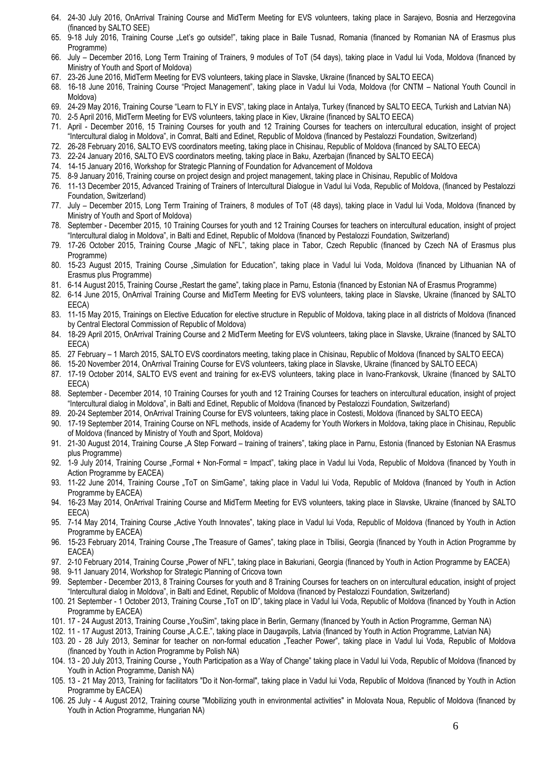- 64. 24-30 July 2016, OnArrival Training Course and MidTerm Meeting for EVS volunteers, taking place in Sarajevo, Bosnia and Herzegovina (financed by SALTO SEE)
- 65. 9-18 July 2016, Training Course "Let's go outside!", taking place in Baile Tusnad, Romania (financed by Romanian NA of Erasmus plus Programme)
- 66. July December 2016, Long Term Training of Trainers, 9 modules of ToT (54 days), taking place in Vadul lui Voda, Moldova (financed by Ministry of Youth and Sport of Moldova)
- 67. 23-26 June 2016, MidTerm Meeting for EVS volunteers, taking place in Slavske, Ukraine (financed by SALTO EECA)
- 68. 16-18 June 2016, Training Course "Project Management", taking place in Vadul lui Voda, Moldova (for CNTM National Youth Council in Moldova)
- 69. 24-29 May 2016, Training Course "Learn to FLY in EVS", taking place in Antalya, Turkey (financed by SALTO EECA, Turkish and Latvian NA)
- 70. 2-5 April 2016, MidTerm Meeting for EVS volunteers, taking place in Kiev, Ukraine (financed by SALTO EECA)
- 71. April December 2016, 15 Training Courses for youth and 12 Training Courses for teachers on intercultural education, insight of project "Intercultural dialog in Moldova", in Comrat, Balti and Edinet, Republic of Moldova (financed by Pestalozzi Foundation, Switzerland)
- 72. 26-28 February 2016, SALTO EVS coordinators meeting, taking place in Chisinau, Republic of Moldova (financed by SALTO EECA)
- 73. 22-24 January 2016, SALTO EVS coordinators meeting, taking place in Baku, Azerbajan (financed by SALTO EECA)
- 74. 14-15 January 2016, Workshop for Strategic Planning of Foundation for Advancement of Moldova
- 75. 8-9 January 2016, Training course on project design and project management, taking place in Chisinau, Republic of Moldova
- 76. 11-13 December 2015, Advanced Training of Trainers of Intercultural Dialogue in Vadul lui Voda, Republic of Moldova, (financed by Pestalozzi Foundation, Switzerland)
- 77. July December 2015, Long Term Training of Trainers, 8 modules of ToT (48 days), taking place in Vadul lui Voda, Moldova (financed by Ministry of Youth and Sport of Moldova)
- 78. September December 2015, 10 Training Courses for youth and 12 Training Courses for teachers on intercultural education, insight of project "Intercultural dialog in Moldova", in Balti and Edinet, Republic of Moldova (financed by Pestalozzi Foundation, Switzerland)
- 79. 17-26 October 2015, Training Course "Magic of NFL", taking place in Tabor, Czech Republic (financed by Czech NA of Erasmus plus Programme)
- 80. 15-23 August 2015, Training Course "Simulation for Education", taking place in Vadul lui Voda, Moldova (financed by Lithuanian NA of Erasmus plus Programme)
- 81. 6-14 August 2015, Training Course "Restart the game", taking place in Parnu, Estonia (financed by Estonian NA of Erasmus Programme)
- 82. 6-14 June 2015, OnArrival Training Course and MidTerm Meeting for EVS volunteers, taking place in Slavske, Ukraine (financed by SALTO EECA)
- 83. 11-15 May 2015, Trainings on Elective Education for elective structure in Republic of Moldova, taking place in all districts of Moldova (financed by Central Electoral Commission of Republic of Moldova)
- 84. 18-29 April 2015, OnArrival Training Course and 2 MidTerm Meeting for EVS volunteers, taking place in Slavske, Ukraine (financed by SALTO EECA)
- 85. 27 February 1 March 2015, SALTO EVS coordinators meeting, taking place in Chisinau, Republic of Moldova (financed by SALTO EECA)
- 86. 15-20 November 2014, OnArrival Training Course for EVS volunteers, taking place in Slavske, Ukraine (financed by SALTO EECA)
- 87. 17-19 October 2014, SALTO EVS event and training for ex-EVS volunteers, taking place in Ivano-Frankovsk, Ukraine (financed by SALTO EECA)
- 88. September December 2014, 10 Training Courses for youth and 12 Training Courses for teachers on intercultural education, insight of project "Intercultural dialog in Moldova", in Balti and Edinet, Republic of Moldova (financed by Pestalozzi Foundation, Switzerland)
- 89. 20-24 September 2014, OnArrival Training Course for EVS volunteers, taking place in Costesti, Moldova (financed by SALTO EECA)
- 90. 17-19 September 2014, Training Course on NFL methods, inside of Academy for Youth Workers in Moldova, taking place in Chisinau, Republic of Moldova (financed by Ministry of Youth and Sport, Moldova)
- 91. 21-30 August 2014, Training Course "A Step Forward training of trainers", taking place in Parnu, Estonia (financed by Estonian NA Erasmus plus Programme)
- 92. 1-9 July 2014, Training Course "Formal + Non-Formal = Impact", taking place in Vadul lui Voda, Republic of Moldova (financed by Youth in Action Programme by EACEA)
- 93. 11-22 June 2014, Training Course "ToT on SimGame", taking place in Vadul lui Voda, Republic of Moldova (financed by Youth in Action Programme by EACEA)
- 94. 16-23 May 2014, OnArrival Training Course and MidTerm Meeting for EVS volunteers, taking place in Slavske, Ukraine (financed by SALTO EECA)
- 95. 7-14 May 2014, Training Course "Active Youth Innovates", taking place in Vadul lui Voda, Republic of Moldova (financed by Youth in Action Programme by EACEA)
- 96. 15-23 February 2014, Training Course . The Treasure of Games", taking place in Tbilisi, Georgia (financed by Youth in Action Programme by EACEA)
- 97. 2-10 February 2014, Training Course "Power of NFL", taking place in Bakuriani, Georgia (financed by Youth in Action Programme by EACEA)
- 98. 9-11 January 2014, Workshop for Strategic Planning of Cricova town
- 99. September December 2013, 8 Training Courses for youth and 8 Training Courses for teachers on on intercultural education, insight of project "Intercultural dialog in Moldova", in Balti and Edinet, Republic of Moldova (financed by Pestalozzi Foundation, Switzerland)
- 100. 21 September 1 October 2013, Training Course "ToT on ID", taking place in Vadul lui Voda, Republic of Moldova (financed by Youth in Action Programme by EACEA)
- 101. 17 24 August 2013, Training Course "YouSim", taking place in Berlin, Germany (financed by Youth in Action Programme, German NA)
- 102. 11 17 August 2013, Training Course "A.C.E.", taking place in Daugavpils, Latvia (financed by Youth in Action Programme, Latvian NA)
- 103. 20 28 July 2013, Seminar for teacher on non-formal education "Teacher Power", taking place in Vadul lui Voda, Republic of Moldova (financed by Youth in Action Programme by Polish NA)
- 104. 13 20 July 2013, Training Course "Youth Participation as a Way of Change" taking place in Vadul lui Voda, Republic of Moldova (financed by Youth in Action Programme, Danish NA)
- 105. 13 21 May 2013, Training for facilitators "Do it Non-formal", taking place in Vadul lui Voda, Republic of Moldova (financed by Youth in Action Programme by EACEA)
- 106. 25 July 4 August 2012, Training course "Mobilizing youth in environmental activities" in Molovata Noua, Republic of Moldova (financed by Youth in Action Programme, Hungarian NA)